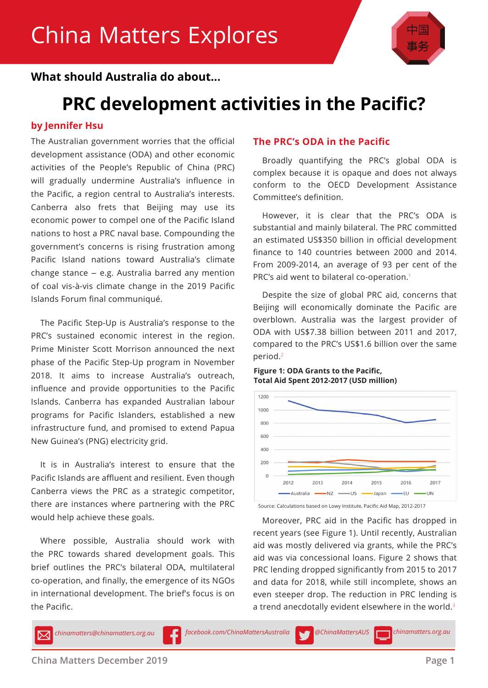

### **What should Australia do about...**

## **PRC development activities in the Pacific?**

### **by Jennifer Hsu**

The Australian government worries that the official development assistance (ODA) and other economic activities of the People's Republic of China (PRC) will gradually undermine Australia's influence in the Pacific, a region central to Australia's interests. Canberra also frets that Beijing may use its economic power to compel one of the Pacific Island nations to host a PRC naval base. Compounding the government's concerns is rising frustration among Pacific Island nations toward Australia's climate change stance – e.g. Australia barred any mention of coal vis-à-vis climate change in the 2019 Pacific Islands Forum final communiqué.

The Pacific Step-Up is Australia's response to the PRC's sustained economic interest in the region. Prime Minister Scott Morrison announced the next phase of the Pacific Step-Up program in November 2018. It aims to increase Australia's outreach, influence and provide opportunities to the Pacific Islands. Canberra has expanded Australian labour programs for Pacific Islanders, established a new infrastructure fund, and promised to extend Papua New Guinea's (PNG) electricity grid.

It is in Australia's interest to ensure that the Pacific Islands are affluent and resilient. Even though Canberra views the PRC as a strategic competitor, there are instances where partnering with the PRC would help achieve these goals.

Where possible, Australia should work with the PRC towards shared development goals. This brief outlines the PRC's bilateral ODA, multilateral co-operation, and finally, the emergence of its NGOs in international development. The brief's focus is on the Pacific.

### **The PRC's ODA in the Pacific**

Broadly quantifying the PRC's global ODA is complex because it is opaque and does not always conform to the OECD Development Assistance Committee's definition.

However, it is clear that the PRC's ODA is substantial and mainly bilateral. The PRC committed an estimated US\$350 billion in official development finance to 140 countries between 2000 and 2014. From 2009-2014, an average of 93 per cent of the PRC's aid went to bilateral co-operation.<sup>1</sup>

Despite the size of global PRC aid, concerns that Beijing will economically dominate the Pacific are overblown. Australia was the largest provider of ODA with US\$7.38 billion between 2011 and 2017, compared to the PRC's US\$1.6 billion over the same period.<sup>2</sup>

#### **Figure 1: ODA Grants to the Pacific, Total Aid Spent 2012-2017 (USD million)**



Source: Calculations based on Lowy Institute, Pacific Aid Map, 2012-2017

Moreover, PRC aid in the Pacific has dropped in recent years (see Figure 1). Until recently, Australian aid was mostly delivered via grants, while the PRC's aid was via concessional loans. Figure 2 shows that PRC lending dropped significantly from 2015 to 2017 and data for 2018, while still incomplete, shows an even steeper drop. The reduction in PRC lending is a trend anecdotally evident elsewhere in the world.<sup>3</sup>

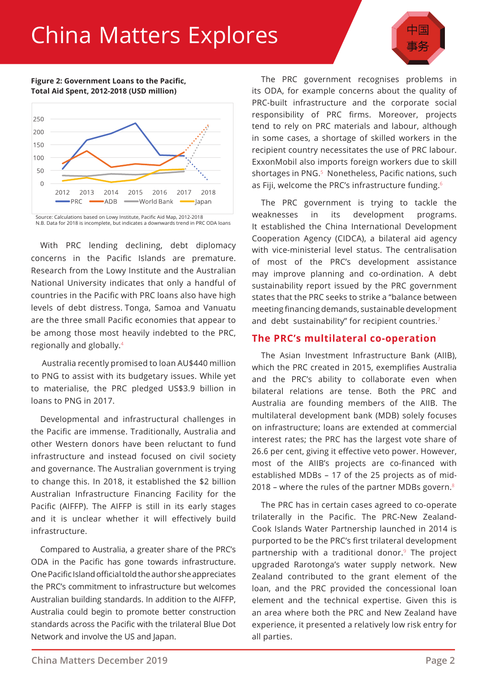# China Matters Explores



#### **Figure 2: Government Loans to the Pacific, Total Aid Spent, 2012-2018 (USD million)**



N.B. Data for 2018 is incomplete, but indicates a downwards trend in PRC ODA loans

With PRC lending declining, debt diplomacy concerns in the Pacific Islands are premature. Research from the Lowy Institute and the Australian National University indicates that only a handful of countries in the Pacific with PRC loans also have high levels of debt distress. Tonga, Samoa and Vanuatu are the three small Pacific economies that appear to be among those most heavily indebted to the PRC, regionally and globally.<sup>4</sup>

 Australia recently promised to loan AU\$440 million to PNG to assist with its budgetary issues. While yet to materialise, the PRC pledged US\$3.9 billion in loans to PNG in 2017.

Developmental and infrastructural challenges in the Pacific are immense. Traditionally, Australia and other Western donors have been reluctant to fund infrastructure and instead focused on civil society and governance. The Australian government is trying to change this. In 2018, it established the \$2 billion Australian Infrastructure Financing Facility for the Pacific (AIFFP). The AIFFP is still in its early stages and it is unclear whether it will effectively build infrastructure.

Compared to Australia, a greater share of the PRC's ODA in the Pacific has gone towards infrastructure. One Pacific Island official told the author she appreciates the PRC's commitment to infrastructure but welcomes Australian building standards. In addition to the AIFFP, Australia could begin to promote better construction standards across the Pacific with the trilateral Blue Dot Network and involve the US and Japan.

The PRC government recognises problems in its ODA, for example concerns about the quality of PRC-built infrastructure and the corporate social responsibility of PRC firms. Moreover, projects tend to rely on PRC materials and labour, although in some cases, a shortage of skilled workers in the recipient country necessitates the use of PRC labour. ExxonMobil also imports foreign workers due to skill shortages in PNG.<sup>5</sup> Nonetheless, Pacific nations, such as Fiji, welcome the PRC's infrastructure funding.<sup>6</sup>

The PRC government is trying to tackle the weaknesses in its development programs. It established the China International Development Cooperation Agency (CIDCA), a bilateral aid agency with vice-ministerial level status. The centralisation of most of the PRC's development assistance may improve planning and co-ordination. A debt sustainability report issued by the PRC government states that the PRC seeks to strike a "balance between meeting financing demands, sustainable development and debt sustainability" for recipient countries.<sup>7</sup>

#### **The PRC's multilateral co-operation**

The Asian Investment Infrastructure Bank (AIIB), which the PRC created in 2015, exemplifies Australia and the PRC's ability to collaborate even when bilateral relations are tense. Both the PRC and Australia are founding members of the AIIB. The multilateral development bank (MDB) solely focuses on infrastructure; loans are extended at commercial interest rates; the PRC has the largest vote share of 26.6 per cent, giving it effective veto power. However, most of the AIIB's projects are co-financed with established MDBs – 17 of the 25 projects as of mid-2018 – where the rules of the partner MDBs govern. $8$ 

The PRC has in certain cases agreed to co-operate trilaterally in the Pacific. The PRC-New Zealand-Cook Islands Water Partnership launched in 2014 is purported to be the PRC's first trilateral development partnership with a traditional donor.<sup>9</sup> The project upgraded Rarotonga's water supply network. New Zealand contributed to the grant element of the loan, and the PRC provided the concessional loan element and the technical expertise. Given this is an area where both the PRC and New Zealand have experience, it presented a relatively low risk entry for all parties.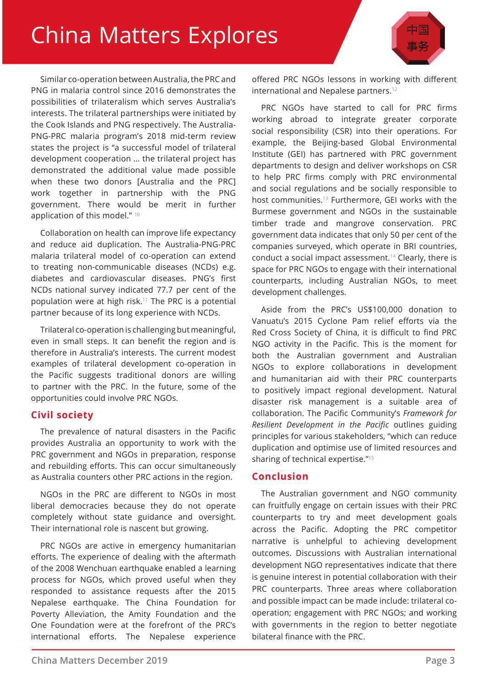# China Matters Explores

Similar co-operation between Australia, the PRC and PNG in malaria control since 2016 demonstrates the possibilities of trilateralism which serves Australia's interests. The trilateral partnerships were initiated by the Cook Islands and PNG respectively. The Australia-PNG-PRC malaria program's 2018 mid-term review states the project is "a successful model of trilateral development cooperation … the trilateral project has demonstrated the additional value made possible when these two donors [Australia and the PRC] work together in partnership with the PNG government. There would be merit in further application of this model."<sup>10</sup>

Collaboration on health can improve life expectancy and reduce aid duplication. The Australia-PNG-PRC malaria trilateral model of co-operation can extend to treating non-communicable diseases (NCDs) e.g. diabetes and cardiovascular diseases. PNG's first NCDs national survey indicated 77.7 per cent of the population were at high risk.<sup>11</sup> The PRC is a potential partner because of its long experience with NCDs.

Trilateral co-operation is challenging but meaningful, even in small steps. It can benefit the region and is therefore in Australia's interests. The current modest examples of trilateral development co-operation in the Pacific suggests traditional donors are willing to partner with the PRC. In the future, some of the opportunities could involve PRC NGOs.

#### **Civil society**

The prevalence of natural disasters in the Pacific provides Australia an opportunity to work with the PRC government and NGOs in preparation, response and rebuilding efforts. This can occur simultaneously as Australia counters other PRC actions in the region.

NGOs in the PRC are different to NGOs in most liberal democracies because they do not operate completely without state guidance and oversight. Their international role is nascent but growing.

PRC NGOs are active in emergency humanitarian efforts. The experience of dealing with the aftermath of the 2008 Wenchuan earthquake enabled a learning process for NGOs, which proved useful when they responded to assistance requests after the 2015 Nepalese earthquake. The China Foundation for Poverty Alleviation, the Amity Foundation and the One Foundation were at the forefront of the PRC's international efforts. The Nepalese experience

offered PRC NGOs lessons in working with different international and Nepalese partners.<sup>12</sup>

PRC NGOs have started to call for PRC firms working abroad to integrate greater corporate social responsibility (CSR) into their operations. For example, the Beijing-based Global Environmental Institute (GEI) has partnered with PRC government departments to design and deliver workshops on CSR to help PRC firms comply with PRC environmental and social regulations and be socially responsible to host communities.<sup>13</sup> Furthermore, GEI works with the Burmese government and NGOs in the sustainable timber trade and mangrove conservation. PRC government data indicates that only 50 per cent of the companies surveyed, which operate in BRI countries, conduct a social impact assessment.<sup>14</sup> Clearly, there is space for PRC NGOs to engage with their international counterparts, including Australian NGOs, to meet development challenges.

Aside from the PRC's US\$100,000 donation to Vanuatu's 2015 Cyclone Pam relief efforts via the Red Cross Society of China, it is difficult to find PRC NGO activity in the Pacific. This is the moment for both the Australian government and Australian NGOs to explore collaborations in development and humanitarian aid with their PRC counterparts to positively impact regional development. Natural disaster risk management is a suitable area of collaboration. The Pacific Community's *Framework for Resilient Development in the Pacific* outlines guiding principles for various stakeholders, "which can reduce duplication and optimise use of limited resources and sharing of technical expertise."<sup>15</sup>

#### **Conclusion**

The Australian government and NGO community can fruitfully engage on certain issues with their PRC counterparts to try and meet development goals across the Pacific. Adopting the PRC competitor narrative is unhelpful to achieving development outcomes. Discussions with Australian international development NGO representatives indicate that there is genuine interest in potential collaboration with their PRC counterparts. Three areas where collaboration and possible impact can be made include: trilateral cooperation; engagement with PRC NGOs; and working with governments in the region to better negotiate bilateral finance with the PRC.